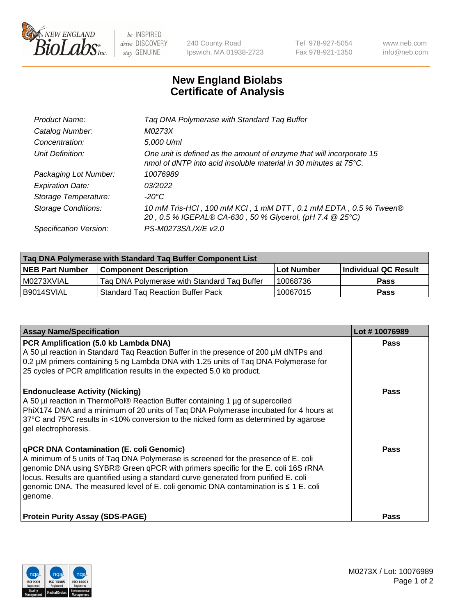

be INSPIRED drive DISCOVERY stay GENUINE

240 County Road Ipswich, MA 01938-2723 Tel 978-927-5054 Fax 978-921-1350 www.neb.com info@neb.com

## **New England Biolabs Certificate of Analysis**

| Tag DNA Polymerase with Standard Tag Buffer                                                                                              |
|------------------------------------------------------------------------------------------------------------------------------------------|
| M0273X                                                                                                                                   |
| 5,000 U/ml                                                                                                                               |
| One unit is defined as the amount of enzyme that will incorporate 15<br>nmol of dNTP into acid insoluble material in 30 minutes at 75°C. |
| 10076989                                                                                                                                 |
| 03/2022                                                                                                                                  |
| $-20^{\circ}$ C                                                                                                                          |
| 10 mM Tris-HCl, 100 mM KCl, 1 mM DTT, 0.1 mM EDTA, 0.5 % Tween®<br>20, 0.5 % IGEPAL® CA-630, 50 % Glycerol, (pH 7.4 @ 25°C)              |
| PS-M0273S/L/X/E v2.0                                                                                                                     |
|                                                                                                                                          |

| Tag DNA Polymerase with Standard Tag Buffer Component List |                                             |                   |                      |  |  |
|------------------------------------------------------------|---------------------------------------------|-------------------|----------------------|--|--|
| <b>NEB Part Number</b>                                     | Component Description_                      | <b>Lot Number</b> | Individual QC Result |  |  |
| M0273XVIAL                                                 | Tag DNA Polymerase with Standard Tag Buffer | 10068736          | Pass                 |  |  |
| B9014SVIAL                                                 | <b>Standard Tag Reaction Buffer Pack</b>    | 10067015          | <b>Pass</b>          |  |  |

| <b>Assay Name/Specification</b>                                                                                                                                                                                                                                                                                                                                                                               | Lot #10076989 |
|---------------------------------------------------------------------------------------------------------------------------------------------------------------------------------------------------------------------------------------------------------------------------------------------------------------------------------------------------------------------------------------------------------------|---------------|
| PCR Amplification (5.0 kb Lambda DNA)<br>A 50 µl reaction in Standard Taq Reaction Buffer in the presence of 200 µM dNTPs and<br>0.2 µM primers containing 5 ng Lambda DNA with 1.25 units of Taq DNA Polymerase for<br>25 cycles of PCR amplification results in the expected 5.0 kb product.                                                                                                                | <b>Pass</b>   |
| <b>Endonuclease Activity (Nicking)</b><br>A 50 µl reaction in ThermoPol® Reaction Buffer containing 1 µg of supercoiled<br>PhiX174 DNA and a minimum of 20 units of Taq DNA Polymerase incubated for 4 hours at<br>37°C and 75°C results in <10% conversion to the nicked form as determined by agarose<br>gel electrophoresis.                                                                               | <b>Pass</b>   |
| qPCR DNA Contamination (E. coli Genomic)<br>A minimum of 5 units of Taq DNA Polymerase is screened for the presence of E. coli<br>genomic DNA using SYBR® Green qPCR with primers specific for the E. coli 16S rRNA<br>locus. Results are quantified using a standard curve generated from purified E. coli<br>genomic DNA. The measured level of E. coli genomic DNA contamination is ≤ 1 E. coli<br>genome. | Pass          |
| <b>Protein Purity Assay (SDS-PAGE)</b>                                                                                                                                                                                                                                                                                                                                                                        | Pass          |